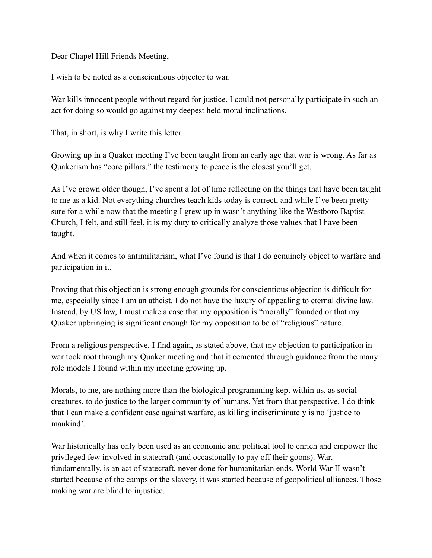Dear Chapel Hill Friends Meeting,

I wish to be noted as a conscientious objector to war.

War kills innocent people without regard for justice. I could not personally participate in such an act for doing so would go against my deepest held moral inclinations.

That, in short, is why I write this letter.

Growing up in a Quaker meeting I've been taught from an early age that war is wrong. As far as Quakerism has "core pillars," the testimony to peace is the closest you'll get.

As I've grown older though, I've spent a lot of time reflecting on the things that have been taught to me as a kid. Not everything churches teach kids today is correct, and while I've been pretty sure for a while now that the meeting I grew up in wasn't anything like the Westboro Baptist Church, I felt, and still feel, it is my duty to critically analyze those values that I have been taught.

And when it comes to antimilitarism, what I've found is that I do genuinely object to warfare and participation in it.

Proving that this objection is strong enough grounds for conscientious objection is difficult for me, especially since I am an atheist. I do not have the luxury of appealing to eternal divine law. Instead, by US law, I must make a case that my opposition is "morally" founded or that my Quaker upbringing is significant enough for my opposition to be of "religious" nature.

From a religious perspective, I find again, as stated above, that my objection to participation in war took root through my Quaker meeting and that it cemented through guidance from the many role models I found within my meeting growing up.

Morals, to me, are nothing more than the biological programming kept within us, as social creatures, to do justice to the larger community of humans. Yet from that perspective, I do think that I can make a confident case against warfare, as killing indiscriminately is no 'justice to mankind'.

War historically has only been used as an economic and political tool to enrich and empower the privileged few involved in statecraft (and occasionally to pay off their goons). War, fundamentally, is an act of statecraft, never done for humanitarian ends. World War II wasn't started because of the camps or the slavery, it was started because of geopolitical alliances. Those making war are blind to injustice.